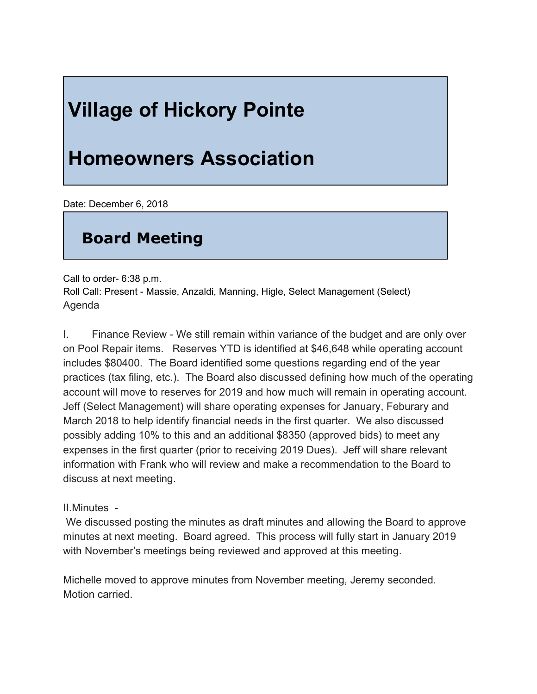# **Village of Hickory Pointe**

## **Homeowners Association**

Date: December 6, 2018

### **Board Meeting**

Call to order- 6:38 p.m.

Roll Call: Present - Massie, Anzaldi, Manning, Higle, Select Management (Select) Agenda

I. Finance Review - We still remain within variance of the budget and are only over on Pool Repair items. Reserves YTD is identified at \$46,648 while operating account includes \$80400. The Board identified some questions regarding end of the year practices (tax filing, etc.). The Board also discussed defining how much of the operating account will move to reserves for 2019 and how much will remain in operating account. Jeff (Select Management) will share operating expenses for January, Feburary and March 2018 to help identify financial needs in the first quarter. We also discussed possibly adding 10% to this and an additional \$8350 (approved bids) to meet any expenses in the first quarter (prior to receiving 2019 Dues). Jeff will share relevant information with Frank who will review and make a recommendation to the Board to discuss at next meeting.

#### II.Minutes -

 We discussed posting the minutes as draft minutes and allowing the Board to approve minutes at next meeting. Board agreed. This process will fully start in January 2019 with November's meetings being reviewed and approved at this meeting.

Michelle moved to approve minutes from November meeting, Jeremy seconded. Motion carried.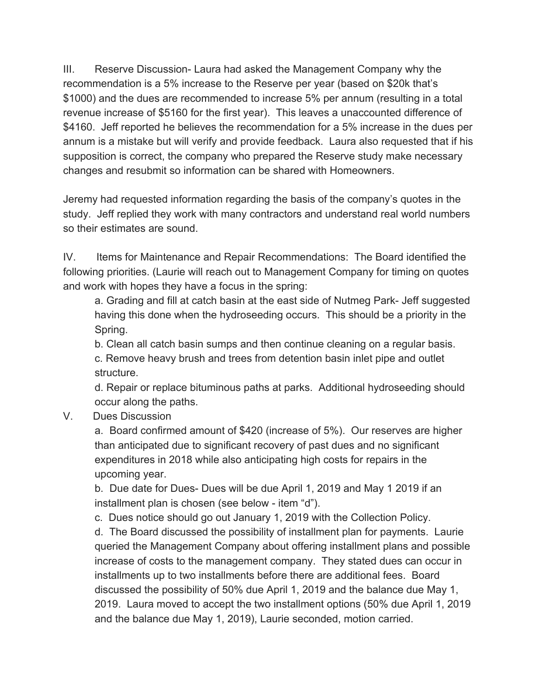III. Reserve Discussion- Laura had asked the Management Company why the recommendation is a 5% increase to the Reserve per year (based on \$20k that's \$1000) and the dues are recommended to increase 5% per annum (resulting in a total revenue increase of \$5160 for the first year). This leaves a unaccounted difference of \$4160. Jeff reported he believes the recommendation for a 5% increase in the dues per annum is a mistake but will verify and provide feedback. Laura also requested that if his supposition is correct, the company who prepared the Reserve study make necessary changes and resubmit so information can be shared with Homeowners.

Jeremy had requested information regarding the basis of the company's quotes in the study. Jeff replied they work with many contractors and understand real world numbers so their estimates are sound.

IV. Items for Maintenance and Repair Recommendations: The Board identified the following priorities. (Laurie will reach out to Management Company for timing on quotes and work with hopes they have a focus in the spring:

a. Grading and fill at catch basin at the east side of Nutmeg Park- Jeff suggested having this done when the hydroseeding occurs. This should be a priority in the Spring.

b. Clean all catch basin sumps and then continue cleaning on a regular basis.

c. Remove heavy brush and trees from detention basin inlet pipe and outlet structure.

d. Repair or replace bituminous paths at parks. Additional hydroseeding should occur along the paths.

V. Dues Discussion

a. Board confirmed amount of \$420 (increase of 5%). Our reserves are higher than anticipated due to significant recovery of past dues and no significant expenditures in 2018 while also anticipating high costs for repairs in the upcoming year.

b. Due date for Dues- Dues will be due April 1, 2019 and May 1 2019 if an installment plan is chosen (see below - item "d").

c. Dues notice should go out January 1, 2019 with the Collection Policy.

d. The Board discussed the possibility of installment plan for payments. Laurie queried the Management Company about offering installment plans and possible increase of costs to the management company. They stated dues can occur in installments up to two installments before there are additional fees. Board discussed the possibility of 50% due April 1, 2019 and the balance due May 1, 2019. Laura moved to accept the two installment options (50% due April 1, 2019 and the balance due May 1, 2019), Laurie seconded, motion carried.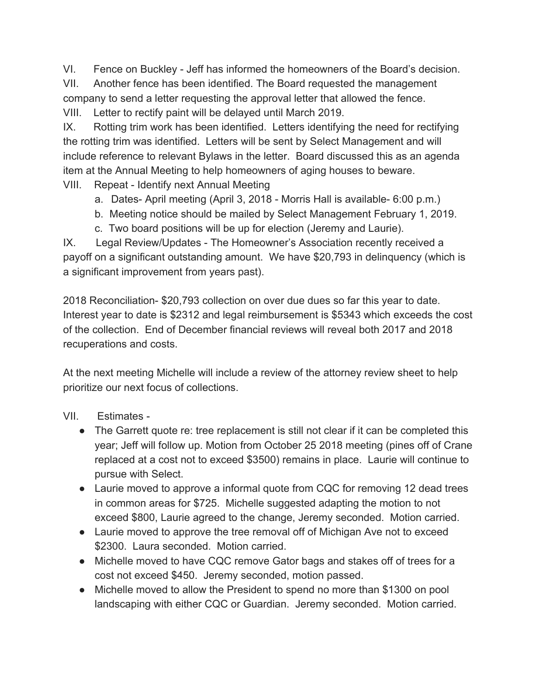VI. Fence on Buckley - Jeff has informed the homeowners of the Board's decision. VII. Another fence has been identified. The Board requested the management company to send a letter requesting the approval letter that allowed the fence. VIII. Letter to rectify paint will be delayed until March 2019.

IX. Rotting trim work has been identified. Letters identifying the need for rectifying the rotting trim was identified. Letters will be sent by Select Management and will include reference to relevant Bylaws in the letter. Board discussed this as an agenda item at the Annual Meeting to help homeowners of aging houses to beware. VIII. Repeat - Identify next Annual Meeting

- - a. Dates- April meeting (April 3, 2018 Morris Hall is available- 6:00 p.m.) b. Meeting notice should be mailed by Select Management February 1, 2019.
	- c. Two board positions will be up for election (Jeremy and Laurie).

IX. Legal Review/Updates - The Homeowner's Association recently received a payoff on a significant outstanding amount. We have \$20,793 in delinquency (which is a significant improvement from years past).

2018 Reconciliation- \$20,793 collection on over due dues so far this year to date. Interest year to date is \$2312 and legal reimbursement is \$5343 which exceeds the cost of the collection. End of December financial reviews will reveal both 2017 and 2018 recuperations and costs.

At the next meeting Michelle will include a review of the attorney review sheet to help prioritize our next focus of collections.

### VII. Estimates -

- The Garrett quote re: tree replacement is still not clear if it can be completed this year; Jeff will follow up. Motion from October 25 2018 meeting (pines off of Crane replaced at a cost not to exceed \$3500) remains in place. Laurie will continue to pursue with Select.
- Laurie moved to approve a informal quote from CQC for removing 12 dead trees in common areas for \$725. Michelle suggested adapting the motion to not exceed \$800, Laurie agreed to the change, Jeremy seconded. Motion carried.
- Laurie moved to approve the tree removal off of Michigan Ave not to exceed \$2300. Laura seconded. Motion carried.
- Michelle moved to have CQC remove Gator bags and stakes off of trees for a cost not exceed \$450. Jeremy seconded, motion passed.
- Michelle moved to allow the President to spend no more than \$1300 on pool landscaping with either CQC or Guardian. Jeremy seconded. Motion carried.